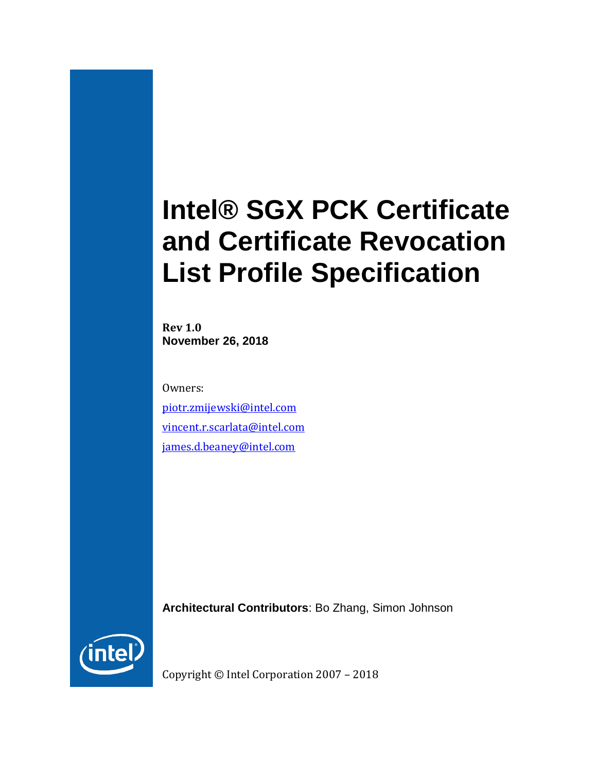# **Intel® SGX PCK Certificate and Certificate Revocation List Profile Specification**

**Rev 1.0 November 26, 2018**

Owners: [piotr.zmijewski@intel.com](mailto:piotr.zmijewski@intel.com) [vincent.r.scarlata@intel.com](mailto:vincent.r.scarlata@intel.com) james.d.beaney@intel.com

**Architectural Contributors**: Bo Zhang, Simon Johnson



Copyright © Intel Corporation 2007 – 2018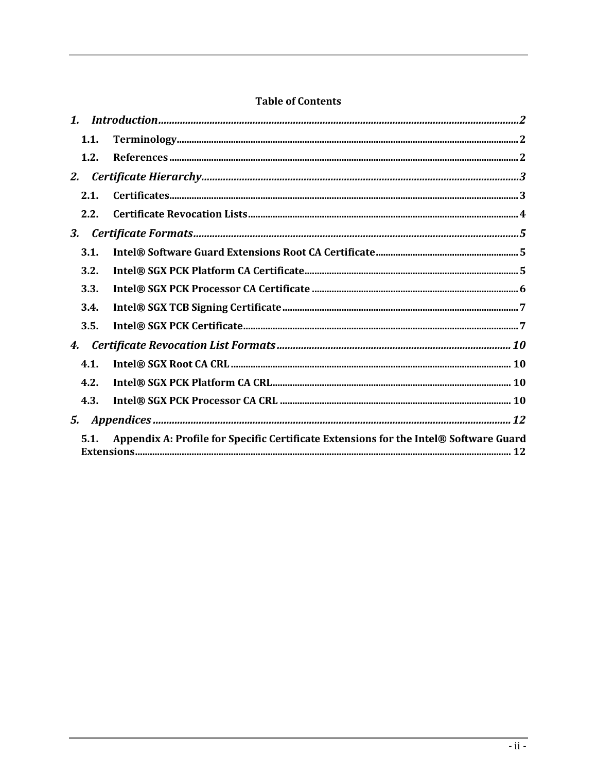# **Table of Contents**

| 1.1.      |                                                                                       |
|-----------|---------------------------------------------------------------------------------------|
| 1.2.      |                                                                                       |
| <b>2.</b> |                                                                                       |
| 2.1.      |                                                                                       |
| 2.2.      |                                                                                       |
| 3.        |                                                                                       |
| 3.1.      |                                                                                       |
| 3.2.      |                                                                                       |
| 3.3.      |                                                                                       |
| 3.4.      |                                                                                       |
| 3.5.      |                                                                                       |
| 4.        |                                                                                       |
| 4.1.      |                                                                                       |
| 4.2.      |                                                                                       |
| 4.3.      |                                                                                       |
| 5.        |                                                                                       |
| 5.1.      | Appendix A: Profile for Specific Certificate Extensions for the Intel® Software Guard |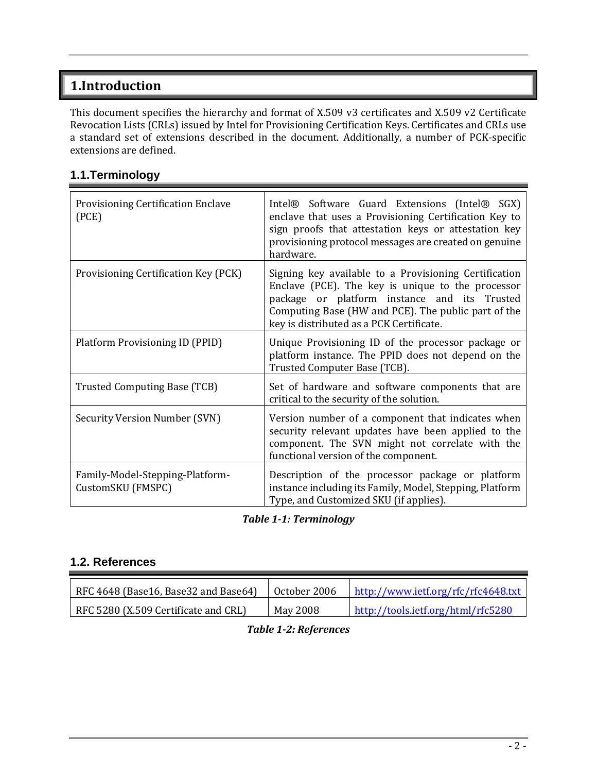# **1.Introduction**

This document specifies the hierarchy and format of X.509 v3 certificates and X.509 v2 Certificate Revocation Lists (CRLs) issued by Intel for Provisioning Certification Keys. Certificates and CRLs use a standard set of extensions described in the document. Additionally, a number of PCK-specific extensions are defined.

# **1.1.Terminology**

| <b>Provisioning Certification Enclave</b><br>(PCE)   | Intel® Software Guard Extensions (Intel® SGX)<br>enclave that uses a Provisioning Certification Key to<br>sign proofs that attestation keys or attestation key<br>provisioning protocol messages are created on genuine<br>hardware.                          |
|------------------------------------------------------|---------------------------------------------------------------------------------------------------------------------------------------------------------------------------------------------------------------------------------------------------------------|
| Provisioning Certification Key (PCK)                 | Signing key available to a Provisioning Certification<br>Enclave (PCE). The key is unique to the processor<br>package or platform instance and its Trusted<br>Computing Base (HW and PCE). The public part of the<br>key is distributed as a PCK Certificate. |
| Platform Provisioning ID (PPID)                      | Unique Provisioning ID of the processor package or<br>platform instance. The PPID does not depend on the<br>Trusted Computer Base (TCB).                                                                                                                      |
| <b>Trusted Computing Base (TCB)</b>                  | Set of hardware and software components that are<br>critical to the security of the solution.                                                                                                                                                                 |
| Security Version Number (SVN)                        | Version number of a component that indicates when<br>security relevant updates have been applied to the<br>component. The SVN might not correlate with the<br>functional version of the component.                                                            |
| Family-Model-Stepping-Platform-<br>CustomSKU (FMSPC) | Description of the processor package or platform<br>instance including its Family, Model, Stepping, Platform<br>Type, and Customized SKU (if applies).                                                                                                        |

*Table 1-1: Terminology*

# <span id="page-2-0"></span>**1.2. References**

| RFC 4648 (Base16, Base32 and Base64) | October 2006 | http://www.ietf.org/rfc/rfc4648.txt |
|--------------------------------------|--------------|-------------------------------------|
| RFC 5280 (X.509 Certificate and CRL) | May 2008     | http://tools.ietf.org/html/rfc5280  |

*Table 1-2: References*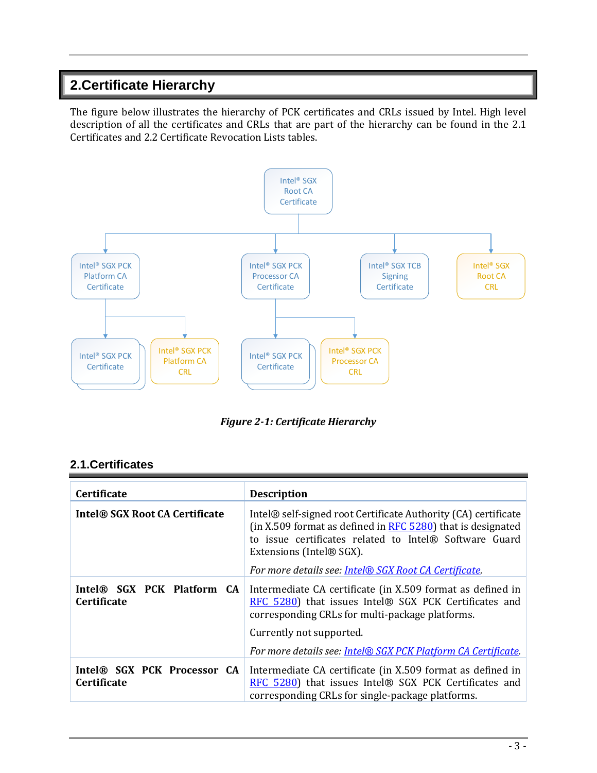# **2.Certificate Hierarchy**

The figure below illustrates the hierarchy of PCK certificates and CRLs issued by Intel. High level description of all the certificates and CRLs that are part of the hierarchy can be found in the 2.1 Certificates and 2.2 Certificate Revocation Lists tables.



*Figure 2-1: Certificate Hierarchy*

## **2.1.Certificates**

| <b>Certificate</b>                                            | <b>Description</b>                                                                                                                                                                                                     |  |  |
|---------------------------------------------------------------|------------------------------------------------------------------------------------------------------------------------------------------------------------------------------------------------------------------------|--|--|
| Intel® SGX Root CA Certificate                                | Intel® self-signed root Certificate Authority (CA) certificate<br>(in X.509 format as defined in $RFC 5280$ ) that is designated<br>to issue certificates related to Intel® Software Guard<br>Extensions (Intel® SGX). |  |  |
|                                                               | For more details see: Intel® SGX Root CA Certificate.                                                                                                                                                                  |  |  |
| SGX PCK Platform CA<br>Intel®<br><b>Certificate</b>           | Intermediate CA certificate (in X.509 format as defined in<br>RFC 5280) that issues Intel® SGX PCK Certificates and<br>corresponding CRLs for multi-package platforms.                                                 |  |  |
|                                                               | Currently not supported.                                                                                                                                                                                               |  |  |
|                                                               | For more details see: Intel® SGX PCK Platform CA Certificate.                                                                                                                                                          |  |  |
| Intel <sup>®</sup> SGX PCK Processor CA<br><b>Certificate</b> | Intermediate CA certificate (in X.509 format as defined in<br>RFC 5280) that issues Intel® SGX PCK Certificates and<br>corresponding CRLs for single-package platforms.                                                |  |  |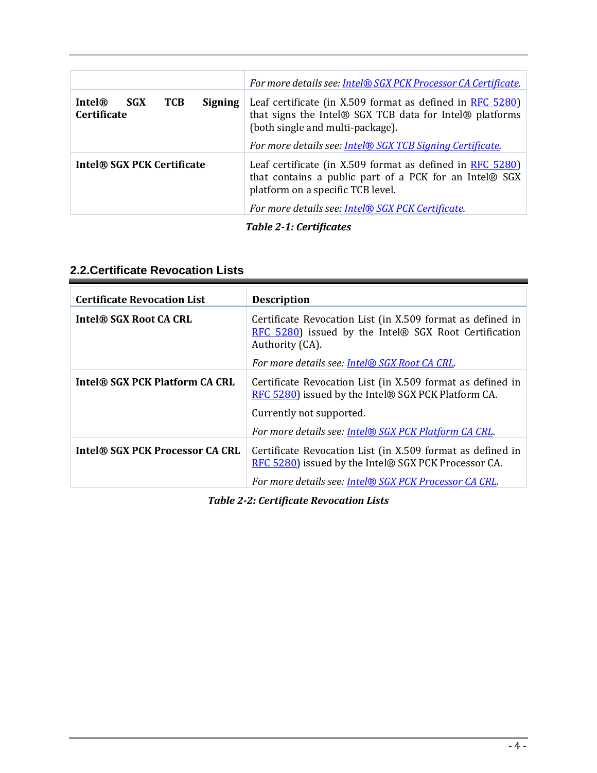| <b>Intel®</b><br><b>TCB</b><br><b>SGX</b><br><b>Signing</b><br><b>Certificate</b> | For more details see: Intel® SGX PCK Processor CA Certificate.<br>Leaf certificate (in X.509 format as defined in RFC 5280)<br>that signs the Intel® SGX TCB data for Intel® platforms<br>(both single and multi-package).<br>For more details see: Intel® SGX TCB Signing Certificate. |
|-----------------------------------------------------------------------------------|-----------------------------------------------------------------------------------------------------------------------------------------------------------------------------------------------------------------------------------------------------------------------------------------|
| <b>Intel® SGX PCK Certificate</b>                                                 | Leaf certificate (in $X.509$ format as defined in $RFC 5280$ )<br>that contains a public part of a PCK for an Intel® SGX<br>platform on a specific TCB level.<br>For more details see: Intel® SGX PCK Certificate.                                                                      |

*Table 2-1: Certificates*

# **2.2.Certificate Revocation Lists**

| <b>Certificate Revocation List</b> | <b>Description</b>                                                                                                                     |  |  |  |
|------------------------------------|----------------------------------------------------------------------------------------------------------------------------------------|--|--|--|
| Intel® SGX Root CA CRL             | Certificate Revocation List (in X.509 format as defined in<br>RFC 5280) issued by the Intel® SGX Root Certification<br>Authority (CA). |  |  |  |
|                                    | For more details see: Intel® SGX Root CA CRL.                                                                                          |  |  |  |
| Intel® SGX PCK Platform CA CRL     | Certificate Revocation List (in X.509 format as defined in<br>RFC 5280) issued by the Intel® SGX PCK Platform CA.                      |  |  |  |
|                                    | Currently not supported.                                                                                                               |  |  |  |
|                                    | For more details see: Intel® SGX PCK Platform CA CRL.                                                                                  |  |  |  |
| Intel® SGX PCK Processor CA CRL    | Certificate Revocation List (in X.509 format as defined in<br>RFC 5280) issued by the Intel® SGX PCK Processor CA.                     |  |  |  |
|                                    | For more details see: Intel® SGX PCK Processor CA CRL.                                                                                 |  |  |  |

*Table 2-2: Certificate Revocation Lists*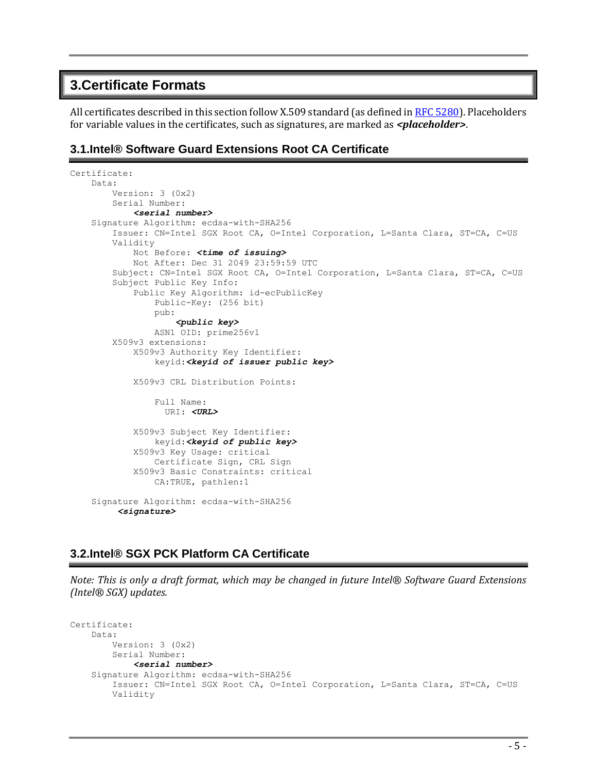# **3.Certificate Formats**

All certificates described in this section follow X.509 standard (as defined i[n RFC 5280\)](#page-2-0). Placeholders for variable values in the certificates, such as signatures, are marked as *<placeholder>*.

# <span id="page-5-0"></span>**3.1.Intel® Software Guard Extensions Root CA Certificate**

```
Certificate:
     Data:
         Version: 3 (0x2)
         Serial Number:
             <serial number>
     Signature Algorithm: ecdsa-with-SHA256
         Issuer: CN=Intel SGX Root CA, O=Intel Corporation, L=Santa Clara, ST=CA, C=US
         Validity
             Not Before: <time of issuing>
             Not After: Dec 31 2049 23:59:59 UTC
         Subject: CN=Intel SGX Root CA, O=Intel Corporation, L=Santa Clara, ST=CA, C=US
         Subject Public Key Info:
             Public Key Algorithm: id-ecPublicKey
                 Public-Key: (256 bit)
                 pub: 
                      <public key>
                 ASN1 OID: prime256v1
         X509v3 extensions:
             X509v3 Authority Key Identifier: 
                 keyid:<keyid of issuer public key>
             X509v3 CRL Distribution Points: 
                  Full Name:
                   URI: <URL>
             X509v3 Subject Key Identifier: 
                  keyid:<keyid of public key>
             X509v3 Key Usage: critical
                 Certificate Sign, CRL Sign
             X509v3 Basic Constraints: critical
                 CA:TRUE, pathlen:1
     Signature Algorithm: ecdsa-with-SHA256
          <signature>
```
# <span id="page-5-1"></span>**3.2.Intel® SGX PCK Platform CA Certificate**

*Note: This is only a draft format, which may be changed in future Intel® Software Guard Extensions (Intel® SGX) updates.*

```
Certificate:
     Data:
         Version: 3 (0x2)
         Serial Number:
             <serial number>
     Signature Algorithm: ecdsa-with-SHA256
         Issuer: CN=Intel SGX Root CA, O=Intel Corporation, L=Santa Clara, ST=CA, C=US
         Validity
```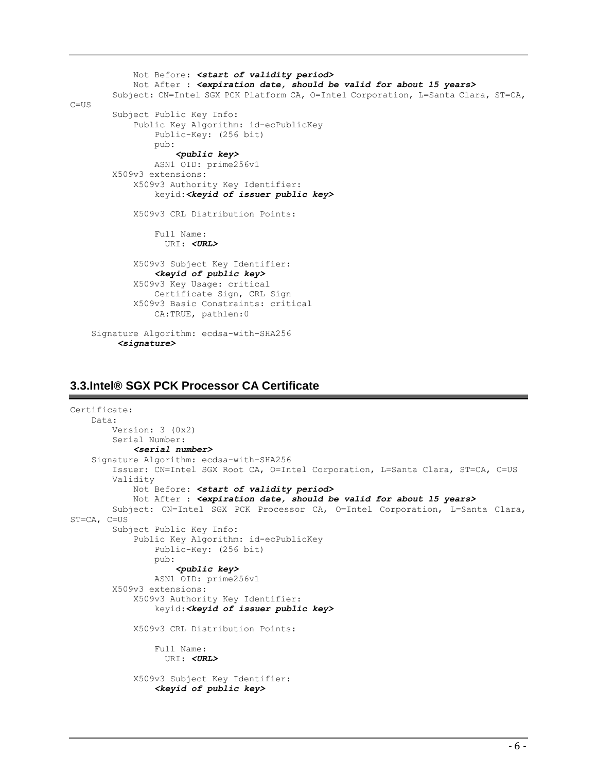Not Before: *<start of validity period>* Not After : *<expiration date, should be valid for about 15 years>* Subject: CN=Intel SGX PCK Platform CA, O=Intel Corporation, L=Santa Clara, ST=CA,  $C=U.S$  Subject Public Key Info: Public Key Algorithm: id-ecPublicKey Public-Key: (256 bit) pub: *<public key>* ASN1 OID: prime256v1 X509v3 extensions: X509v3 Authority Key Identifier: keyid:*<keyid of issuer public key>* X509v3 CRL Distribution Points: Full Name: URI: *<URL>* X509v3 Subject Key Identifier: *<keyid of public key>* X509v3 Key Usage: critical Certificate Sign, CRL Sign X509v3 Basic Constraints: critical CA:TRUE, pathlen:0 Signature Algorithm: ecdsa-with-SHA256 *<signature>*

### <span id="page-6-0"></span>**3.3.Intel® SGX PCK Processor CA Certificate**

```
Certificate:
     Data:
         Version: 3 (0x2)
         Serial Number:
             <serial number>
     Signature Algorithm: ecdsa-with-SHA256
         Issuer: CN=Intel SGX Root CA, O=Intel Corporation, L=Santa Clara, ST=CA, C=US
         Validity
             Not Before: <start of validity period>
             Not After : <expiration date, should be valid for about 15 years>
         Subject: CN=Intel SGX PCK Processor CA, O=Intel Corporation, L=Santa Clara, 
ST=CA, C=US
         Subject Public Key Info:
             Public Key Algorithm: id-ecPublicKey
                 Public-Key: (256 bit)
                 pub: 
                      <public key>
                 ASN1 OID: prime256v1
         X509v3 extensions:
             X509v3 Authority Key Identifier: 
                 keyid:<keyid of issuer public key>
             X509v3 CRL Distribution Points: 
                 Full Name:
                   URI: <URL>
             X509v3 Subject Key Identifier: 
                 <keyid of public key>
```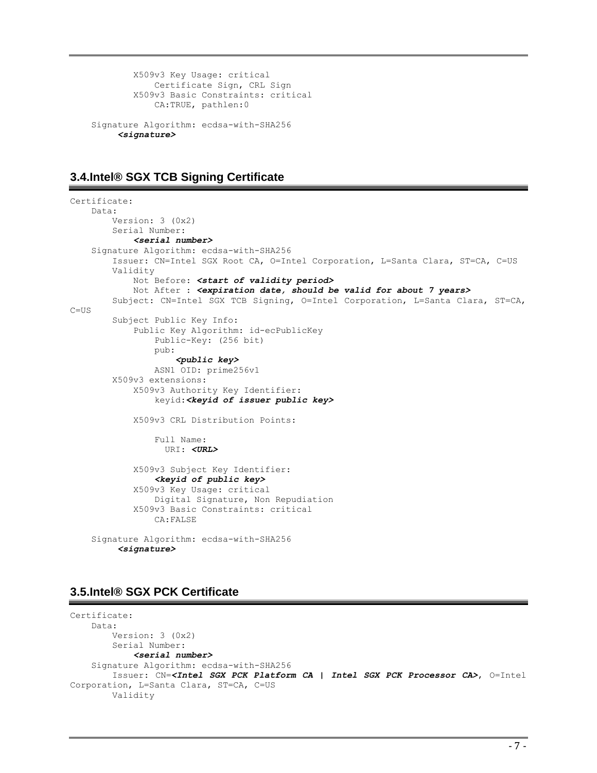```
 X509v3 Key Usage: critical
             Certificate Sign, CRL Sign
         X509v3 Basic Constraints: critical
             CA:TRUE, pathlen:0
 Signature Algorithm: ecdsa-with-SHA256
      <signature>
```
## <span id="page-7-0"></span>**3.4.Intel® SGX TCB Signing Certificate**

```
Certificate:
     Data:
         Version: 3 (0x2)
         Serial Number:
             <serial number>
     Signature Algorithm: ecdsa-with-SHA256
         Issuer: CN=Intel SGX Root CA, O=Intel Corporation, L=Santa Clara, ST=CA, C=US
         Validity
             Not Before: <start of validity period>
             Not After : <expiration date, should be valid for about 7 years>
         Subject: CN=Intel SGX TCB Signing, O=Intel Corporation, L=Santa Clara, ST=CA, 
C = US Subject Public Key Info:
             Public Key Algorithm: id-ecPublicKey
                 Public-Key: (256 bit)
                 pub:
                      <public key>
                 ASN1 OID: prime256v1
         X509v3 extensions:
             X509v3 Authority Key Identifier: 
                 keyid:<keyid of issuer public key>
             X509v3 CRL Distribution Points: 
                 Full Name:
                   URI: <URL>
             X509v3 Subject Key Identifier: 
                  <keyid of public key>
             X509v3 Key Usage: critical
                  Digital Signature, Non Repudiation
             X509v3 Basic Constraints: critical
                 CA:FALSE
     Signature Algorithm: ecdsa-with-SHA256
          <signature>
```
# <span id="page-7-1"></span>**3.5.Intel® SGX PCK Certificate**

```
Certificate:
     Data:
         Version: 3 (0x2)
         Serial Number:
             <serial number>
     Signature Algorithm: ecdsa-with-SHA256
         Issuer: CN=<Intel SGX PCK Platform CA | Intel SGX PCK Processor CA>, O=Intel 
Corporation, L=Santa Clara, ST=CA, C=US
         Validity
```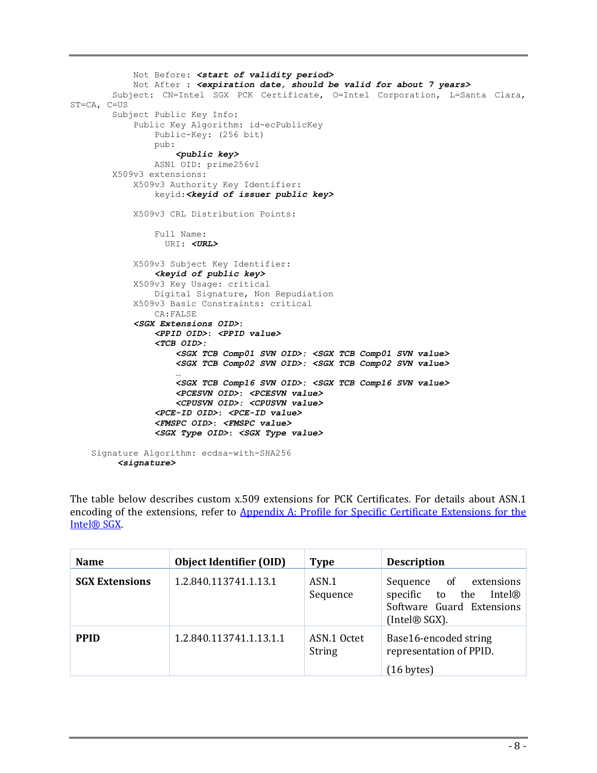```
 Not Before: <start of validity period>
             Not After : <expiration date, should be valid for about 7 years>
         Subject: CN=Intel SGX PCK Certificate, O=Intel Corporation, L=Santa Clara, 
ST=CA, C=US
         Subject Public Key Info:
             Public Key Algorithm: id-ecPublicKey
                 Public-Key: (256 bit)
                 pub: 
                     <public key>
                 ASN1 OID: prime256v1
         X509v3 extensions:
             X509v3 Authority Key Identifier: 
                 keyid:<keyid of issuer public key>
             X509v3 CRL Distribution Points: 
                 Full Name:
                   URI: <URL>
             X509v3 Subject Key Identifier: 
                 <keyid of public key>
             X509v3 Key Usage: critical
                 Digital Signature, Non Repudiation
             X509v3 Basic Constraints: critical
                 CA:FALSE
             <SGX Extensions OID>:
                 <PPID OID>: <PPID value>
                 <TCB OID>:
                     <SGX TCB Comp01 SVN OID>: <SGX TCB Comp01 SVN value>
                    <SGX TCB Comp02 SVN OID>: <SGX TCB Comp02 SVN value>
 …
                    <SGX TCB Comp16 SVN OID>: <SGX TCB Comp16 SVN value> 
                     <PCESVN OID>: <PCESVN value> 
                     <CPUSVN OID>: <CPUSVN value>
                 <PCE-ID OID>: <PCE-ID value>
                 <FMSPC OID>: <FMSPC value>
                 <SGX Type OID>: <SGX Type value>
     Signature Algorithm: ecdsa-with-SHA256
          <signature>
```
The table below describes custom x.509 extensions for PCK Certificates. For details about ASN.1 encoding of the extensions, refer to [Appendix A: Profile for Specific Certificate Extensions for the](#page-12-0)  [Intel® SGX.](#page-12-0)

| <b>Name</b>           | <b>Object Identifier (OID)</b> | <b>Type</b>                  | <b>Description</b>                                                                                            |  |
|-----------------------|--------------------------------|------------------------------|---------------------------------------------------------------------------------------------------------------|--|
| <b>SGX Extensions</b> | 1.2.840.113741.1.13.1          | ASN.1<br>Sequence            | Sequence of extensions<br>specific to the<br>Intel®<br>Software Guard Extensions<br>(Intel <sup>®</sup> SGX). |  |
| <b>PPID</b>           | 1.2.840.113741.1.13.1.1        | ASN.1 Octet<br><b>String</b> | Base16-encoded string<br>representation of PPID.<br>(16 bytes)                                                |  |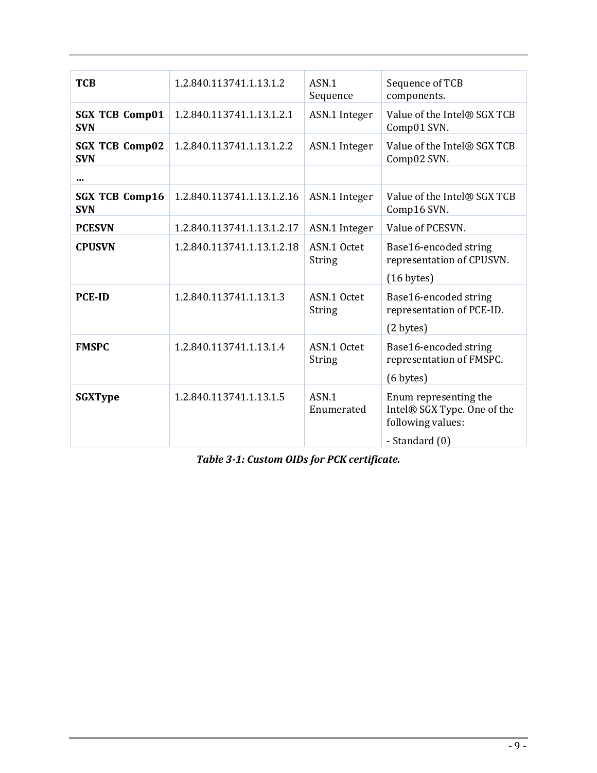| <b>TCB</b>                          | 1.2.840.113741.1.13.1.2    | ASN <sub>.1</sub><br>Sequence | Sequence of TCB<br>components.                                                              |
|-------------------------------------|----------------------------|-------------------------------|---------------------------------------------------------------------------------------------|
| <b>SGX TCB Comp01</b><br><b>SVN</b> | 1.2.840.113741.1.13.1.2.1  | ASN.1 Integer                 | Value of the Intel® SGX TCB<br>Comp01 SVN.                                                  |
| <b>SGX TCB Comp02</b><br><b>SVN</b> | 1.2.840.113741.1.13.1.2.2  | ASN.1 Integer                 | Value of the Intel® SGX TCB<br>Comp02 SVN.                                                  |
| $\cdots$                            |                            |                               |                                                                                             |
| <b>SGX TCB Comp16</b><br><b>SVN</b> | 1.2.840.113741.1.13.1.2.16 | ASN.1 Integer                 | Value of the Intel® SGX TCB<br>Comp16 SVN.                                                  |
| <b>PCESVN</b>                       | 1.2.840.113741.1.13.1.2.17 | ASN.1 Integer                 | Value of PCESVN.                                                                            |
| <b>CPUSVN</b>                       | 1.2.840.113741.1.13.1.2.18 | ASN.1 Octet<br>String         | Base16-encoded string<br>representation of CPUSVN.                                          |
|                                     |                            |                               | (16 bytes)                                                                                  |
| <b>PCE-ID</b>                       | 1.2.840.113741.1.13.1.3    | ASN.1 Octet<br>String         | Base16-encoded string<br>representation of PCE-ID.<br>(2 bytes)                             |
| <b>FMSPC</b>                        | 1.2.840.113741.1.13.1.4    | ASN.1 Octet<br>String         | Base16-encoded string<br>representation of FMSPC.<br>(6 bytes)                              |
| <b>SGXType</b>                      | 1.2.840.113741.1.13.1.5    | ASN.1<br>Enumerated           | Enum representing the<br>Intel® SGX Type. One of the<br>following values:<br>- Standard (0) |

*Table 3-1: Custom OIDs for PCK certificate.*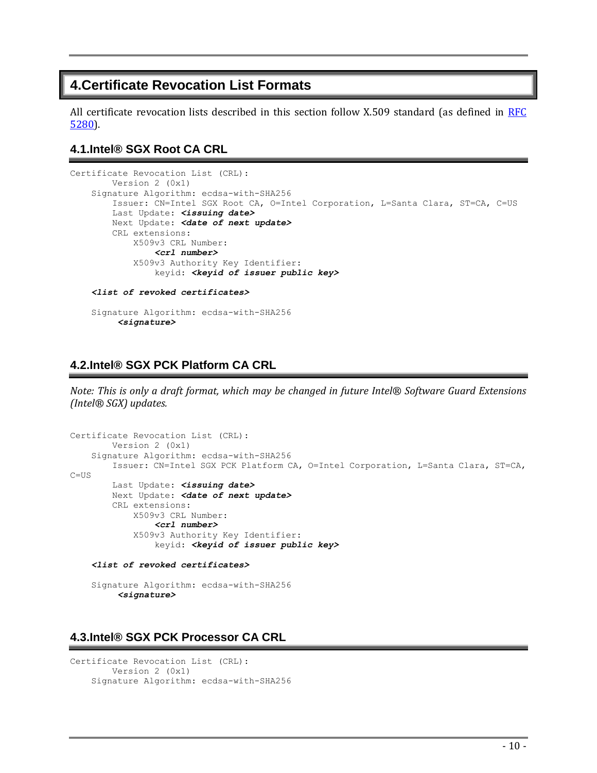# **4.Certificate Revocation List Formats**

All certificate revocation lists described in this section follow X.509 standard (as defined in RFC [5280\)](#page-2-0).

## <span id="page-10-0"></span>**4.1.Intel® SGX Root CA CRL**

```
Certificate Revocation List (CRL):
         Version 2 (0x1)
     Signature Algorithm: ecdsa-with-SHA256
         Issuer: CN=Intel SGX Root CA, O=Intel Corporation, L=Santa Clara, ST=CA, C=US
         Last Update: <issuing date>
         Next Update: <date of next update>
         CRL extensions:
             X509v3 CRL Number: 
                 <crl number>
             X509v3 Authority Key Identifier: 
                 keyid: <keyid of issuer public key>
     <list of revoked certificates>
     Signature Algorithm: ecdsa-with-SHA256
          <signature>
```
# <span id="page-10-1"></span>**4.2.Intel® SGX PCK Platform CA CRL**

*Note: This is only a draft format, which may be changed in future Intel® Software Guard Extensions (Intel® SGX) updates.*

```
Certificate Revocation List (CRL):
         Version 2 (0x1)
     Signature Algorithm: ecdsa-with-SHA256
         Issuer: CN=Intel SGX PCK Platform CA, O=Intel Corporation, L=Santa Clara, ST=CA, 
C=U.S Last Update: <issuing date>
         Next Update: <date of next update>
         CRL extensions:
             X509v3 CRL Number: 
                  <crl number>
             X509v3 Authority Key Identifier: 
                 keyid: <keyid of issuer public key>
     <list of revoked certificates>
     Signature Algorithm: ecdsa-with-SHA256
          <signature>
```
# <span id="page-10-2"></span>**4.3.Intel® SGX PCK Processor CA CRL**

```
Certificate Revocation List (CRL):
         Version 2 (0x1)
     Signature Algorithm: ecdsa-with-SHA256
```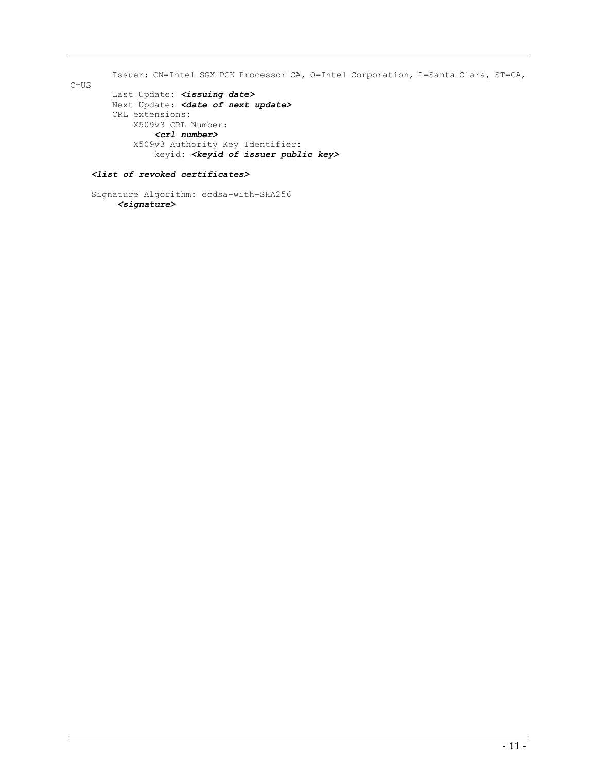Issuer: CN=Intel SGX PCK Processor CA, O=Intel Corporation, L=Santa Clara, ST=CA,

 Last Update: *<issuing date>* Next Update: *<date of next update>* CRL extensions: X509v3 CRL Number: *<crl number>* X509v3 Authority Key Identifier: keyid: *<keyid of issuer public key>*

#### *<list of revoked certificates>*

 $C = US$ 

 Signature Algorithm: ecdsa-with-SHA256 *<signature>*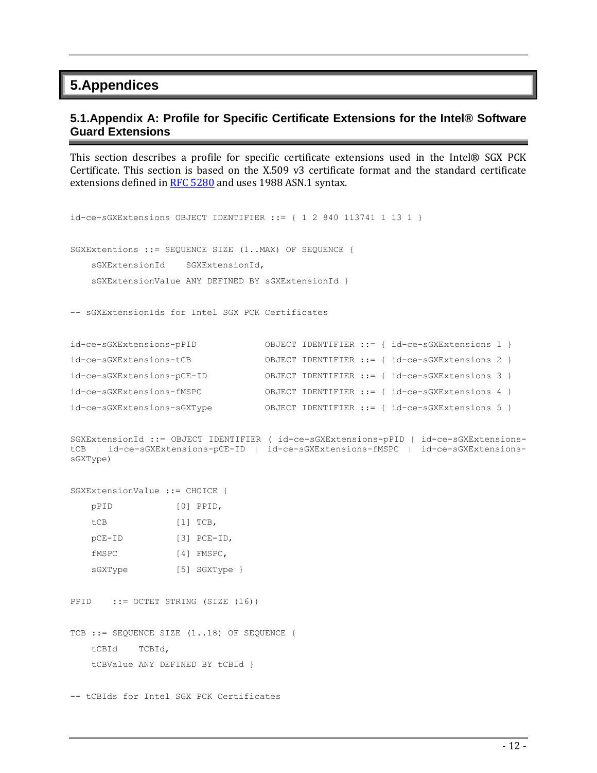# **5.Appendices**

# <span id="page-12-0"></span>**5.1.Appendix A: Profile for Specific Certificate Extensions for the Intel® Software Guard Extensions**

This section describes a profile for specific certificate extensions used in the Intel® SGX PCK Certificate. This section is based on the X.509 v3 certificate format and the standard certificate extensions defined in [RFC 5280](#page-2-0) and uses 1988 ASN.1 syntax.

```
id-ce-SGXExtensions OBJECT IDENTIFIER ::= { 1 2 840 113741 1 13 1 }SGXExtentions ::= SEQUENCE SIZE (1..MAX) OF SEQUENCE {
    sGXExtensionId SGXExtensionId,
    sGXExtensionValue ANY DEFINED BY sGXExtensionId }
-- sGXExtensionIds for Intel SGX PCK Certificates
id-ce-sGXExtensions-pPID OBJECT IDENTIFIER ::= { id-ce-sGXExtensions 1 }
id-ce-sGXExtensions-tCB OBJECT IDENTIFIER ::= { id-ce-sGXExtensions 2 }
id-ce-sGXExtensions-pCE-ID OBJECT IDENTIFIER ::= { id-ce-sGXExtensions 3 }
id-ce-sGXExtensions-fMSPC OBJECT IDENTIFIER ::= { id-ce-sGXExtensions 4 }
id-ce-sGXExtensions-sGXType OBJECT IDENTIFIER ::= { id-ce-sGXExtensions 5 }
SGXExtensionId ::= OBJECT IDENTIFIER ( id-ce-sGXExtensions-pPID | id-ce-sGXExtensions-
tCB | id-ce-sGXExtensions-pCE-ID | id-ce-sGXExtensions-fMSPC | id-ce-sGXExtensions-
sGXType)
```

| SGXExtensionValue ::= CHOICE { |
|--------------------------------|
|--------------------------------|

| pPID     | $[0]$ PPID,            |  |
|----------|------------------------|--|
| t.CB     | $\lceil 1 \rceil$ TCB, |  |
| $pCE-TD$ | $[3]$ PCE-ID,          |  |
| fMSPC    | [4] FMSPC,             |  |
| sGXType  | $[5]$ SGXType $\}$     |  |

PPID ::= OCTET STRING (SIZE (16))

```
TCB ::= SEQUENCE SIZE (1..18) OF SEQUENCE {
     tCBId TCBId,
     tCBValue ANY DEFINED BY tCBId }
```
-- tCBIds for Intel SGX PCK Certificates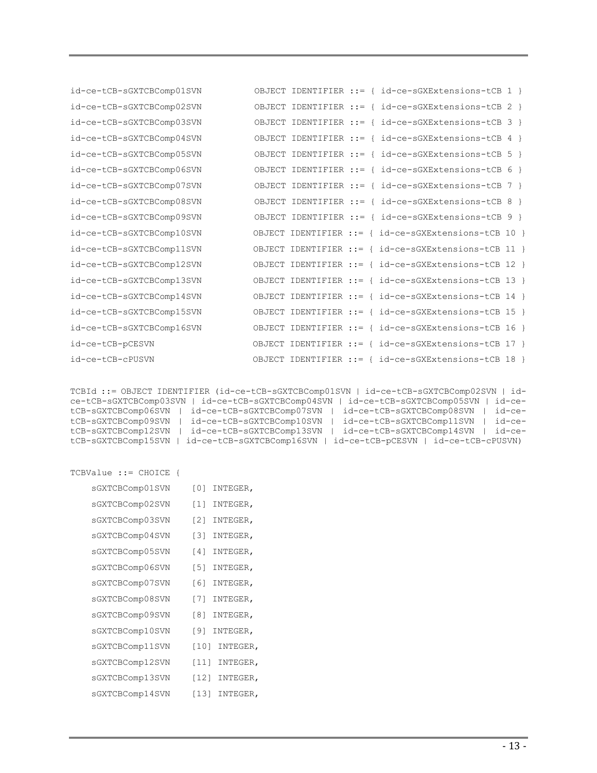| id-ce-tCB-sGXTCBComp01SVN |  |  | OBJECT IDENTIFIER : = { id-ce-sGXExtensions-tCB 1 }  |  |
|---------------------------|--|--|------------------------------------------------------|--|
| id-ce-tCB-sGXTCBComp02SVN |  |  | OBJECT IDENTIFIER ::= { id-ce-sGXExtensions-tCB 2 }  |  |
| id-ce-tCB-sGXTCBComp03SVN |  |  | OBJECT IDENTIFIER ::= { id-ce-sGXExtensions-tCB 3 }  |  |
| id-ce-tCB-sGXTCBComp04SVN |  |  | OBJECT IDENTIFIER ::= { id-ce-sGXExtensions-tCB 4 }  |  |
| id-ce-tCB-sGXTCBComp05SVN |  |  | OBJECT IDENTIFIER ::= { id-ce-sGXExtensions-tCB 5 }  |  |
| id-ce-tCB-sGXTCBComp06SVN |  |  | OBJECT IDENTIFIER ::= { id-ce-sGXExtensions-tCB 6 }  |  |
| id-ce-tCB-sGXTCBComp07SVN |  |  | OBJECT IDENTIFIER ::= { id-ce-sGXExtensions-tCB 7 }  |  |
| id-ce-tCB-sGXTCBComp08SVN |  |  | OBJECT IDENTIFIER ::= { id-ce-sGXExtensions-tCB 8 }  |  |
| id-ce-tCB-sGXTCBComp09SVN |  |  | OBJECT IDENTIFIER ::= { id-ce-sGXExtensions-tCB 9 }  |  |
| id-ce-tCB-sGXTCBComp10SVN |  |  | OBJECT IDENTIFIER ::= { id-ce-sGXExtensions-tCB 10 } |  |
| id-ce-tCB-sGXTCBComp11SVN |  |  | OBJECT IDENTIFIER ::= { id-ce-sGXExtensions-tCB 11 } |  |
| id-ce-tCB-sGXTCBComp12SVN |  |  | OBJECT IDENTIFIER ::= { id-ce-sGXExtensions-tCB 12 } |  |
| id-ce-tCB-sGXTCBComp13SVN |  |  | OBJECT IDENTIFIER ::= { id-ce-sGXExtensions-tCB 13 } |  |
| id-ce-tCB-sGXTCBComp14SVN |  |  | OBJECT IDENTIFIER ::= { id-ce-sGXExtensions-tCB 14 } |  |
| id-ce-tCB-sGXTCBComp15SVN |  |  | OBJECT IDENTIFIER ::= { id-ce-sGXExtensions-tCB 15 } |  |
| id-ce-tCB-sGXTCBComp16SVN |  |  | OBJECT IDENTIFIER ::= { id-ce-sGXExtensions-tCB 16 } |  |
| id-ce-tCB-pCESVN          |  |  | OBJECT IDENTIFIER ::= { id-ce-sGXExtensions-tCB 17 } |  |
| id-ce-tCB-cPUSVN          |  |  | OBJECT IDENTIFIER ::= { id-ce-sGXExtensions-tCB 18 } |  |

TCBId ::= OBJECT IDENTIFIER (id-ce-tCB-sGXTCBComp01SVN | id-ce-tCB-sGXTCBComp02SVN | idce-tCB-sGXTCBComp03SVN | id-ce-tCB-sGXTCBComp04SVN | id-ce-tCB-sGXTCBComp05SVN | id-cetCB-sGXTCBComp06SVN | id-ce-tCB-sGXTCBComp07SVN | id-ce-tCB-sGXTCBComp08SVN | id-cetCB-sGXTCBComp09SVN | id-ce-tCB-sGXTCBComp10SVN | id-ce-tCB-sGXTCBComp11SVN | id-cetCB-sGXTCBComp12SVN | id-ce-tCB-sGXTCBComp13SVN | id-ce-tCB-sGXTCBComp14SVN | id-cetCB-sGXTCBComp15SVN | id-ce-tCB-sGXTCBComp16SVN | id-ce-tCB-pCESVN | id-ce-tCB-cPUSVN)

| TCBValue ::= CHOICE { |       |          |
|-----------------------|-------|----------|
| sGXTCBComp01SVN       | [0]   | INTEGER, |
| sGXTCBComp02SVN       | [1]   | INTEGER, |
| sGXTCBComp03SVN       | [2]   | INTEGER, |
| sGXTCBComp04SVN       | [3]   | INTEGER, |
| sGXTCBComp05SVN       | [4]   | INTEGER, |
| sGXTCBComp06SVN       | $[5]$ | INTEGER, |
| sGXTCBComp07SVN       | [6]   | INTEGER, |
| sGXTCBComp08SVN       | [7]   | INTEGER, |
| sGXTCBComp09SVN       | [8]   | INTEGER, |
| sGXTCBComp10SVN       | [9]   | INTEGER, |
| sGXTCBComp11SVN       | 101   | INTEGER, |
| sGXTCBComp12SVN       | [11]  | INTEGER, |
| sGXTCBComp13SVN       | [12]  | INTEGER, |
| sGXTCBComp14SVN       | [13]  | INTEGER, |